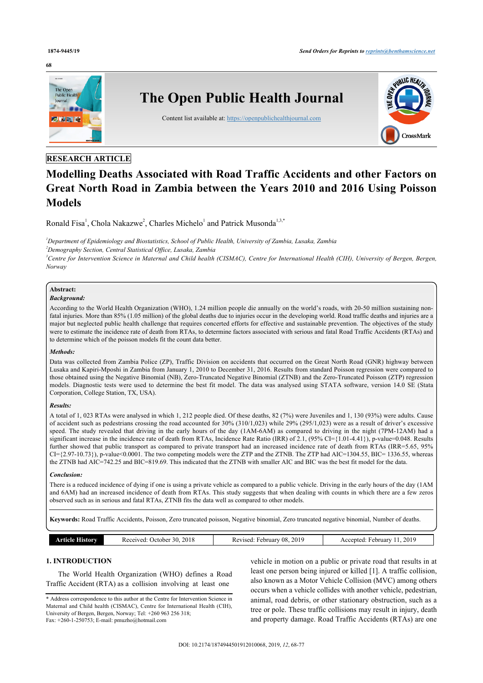#### **68**



# **RESEARCH ARTICLE**

# **Modelling Deaths Associated with Road Traffic Accidents and other Factors on Great North Road in Zambia between the Years 2010 and 2016 Using Poisson Models**

Ronald Fisa<sup>[1](#page-0-0)</sup>, Chola Nakazwe<sup>[2](#page-0-1)</sup>, Charles Michelo<sup>1</sup> and Patrick Musonda<sup>1,[3](#page-0-2),[\\*](#page-0-3)</sup>

<span id="page-0-0"></span>*<sup>1</sup>Department of Epidemiology and Biostatistics, School of Public Health, University of Zambia, Lusaka, Zambia <sup>2</sup>Demography Section, Central Statistical Office, Lusaka, Zambia*

<span id="page-0-2"></span><span id="page-0-1"></span>*<sup>3</sup>Centre for Intervention Science in Maternal and Child health (CISMAC), Centre for International Health (CIH), University of Bergen, Bergen, Norway*

#### **Abstract:** *Background:*

#### According to the World Health Organization (WHO), 1.24 million people die annually on the world's roads, with 20-50 million sustaining nonfatal injuries. More than 85% (1.05 million) of the global deaths due to injuries occur in the developing world. Road traffic deaths and injuries are a major but neglected public health challenge that requires concerted efforts for effective and sustainable prevention. The objectives of the study were to estimate the incidence rate of death from RTAs, to determine factors associated with serious and fatal Road Traffic Accidents (RTAs) and to determine which of the poisson models fit the count data better.

#### *Methods:*

Data was collected from Zambia Police (ZP), Traffic Division on accidents that occurred on the Great North Road (GNR) highway between Lusaka and Kapiri-Mposhi in Zambia from January 1, 2010 to December 31, 2016. Results from standard Poisson regression were compared to those obtained using the Negative Binomial (NB), Zero-Truncated Negative Binomial (ZTNB) and the Zero-Truncated Poisson (ZTP) regression models. Diagnostic tests were used to determine the best fit model. The data was analysed using STATA software, version 14.0 SE (Stata Corporation, College Station, TX, USA).

#### *Results:*

A total of 1, 023 RTAs were analysed in which 1, 212 people died. Of these deaths, 82 (7%) were Juveniles and 1, 130 (93%) were adults. Cause of accident such as pedestrians crossing the road accounted for 30% (310/1,023) while 29% (295/1,023) were as a result of driver's excessive speed. The study revealed that driving in the early hours of the day (1AM-6AM) as compared to driving in the night (7PM-12AM) had a significant increase in the incidence rate of death from RTAs, Incidence Rate Ratio (IRR) of 2.1, (95% CI= $\{1.01-4.41\}$ ), p-value=0.048. Results further showed that public transport as compared to private transport had an increased incidence rate of death from RTAs (IRR=5.65, 95%  $CI = \{2.97-10.73\}$ , p-value<0.0001. The two competing models were the ZTP and the ZTNB. The ZTP had AIC=1304.55, BIC= 1336.55, whereas the ZTNB had AIC=742.25 and BIC=819.69. This indicated that the ZTNB with smaller AIC and BIC was the best fit model for the data.

#### *Conclusion:*

There is a reduced incidence of dying if one is using a private vehicle as compared to a public vehicle. Driving in the early hours of the day (1AM and 6AM) had an increased incidence of death from RTAs. This study suggests that when dealing with counts in which there are a few zeros observed such as in serious and fatal RTAs, ZTNB fits the data well as compared to other models.

**Keywords:** Road Traffic Accidents, Poisson, Zero truncated poisson, Negative binomial, Zero truncated negative binomial, Number of deaths.

| 2019<br>2018<br>2019<br>-08.<br>Received:<br>`ccente <sub>0</sub><br>ebruar,<br>. Jetober<br>-30<br>Februarv<br>Revised<br>សារ នេះ<br>A rticle -<br>A C C |  |  |
|-----------------------------------------------------------------------------------------------------------------------------------------------------------|--|--|
|                                                                                                                                                           |  |  |

# **1. INTRODUCTION**

The World Health Organization (WHO) defines a Road Traffic Accident (RTA) as a collision involving at least one

vehicle in motion on a public or private road that results in at least one person being injured or killed [\[1](#page-8-0)]. A traffic collision, also known as a Motor Vehicle Collision (MVC) among others occurs when a vehicle collides with another vehicle, pedestrian, animal, road debris, or other stationary obstruction, such as a tree or pole. These traffic collisions may result in injury, death and property damage. Road Traffic Accidents (RTAs) are one

<span id="page-0-3"></span><sup>\*</sup> Address correspondence to this author at the Centre for Intervention Science in Maternal and Child health (CISMAC), Centre for International Health (CIH), University of Bergen, Bergen, Norway; Tel: +260 963 256 318; Fax: +260-1-250753; E-mail: [pmuzho@hotmail.com](mailto:pmuzho@hotmail.com)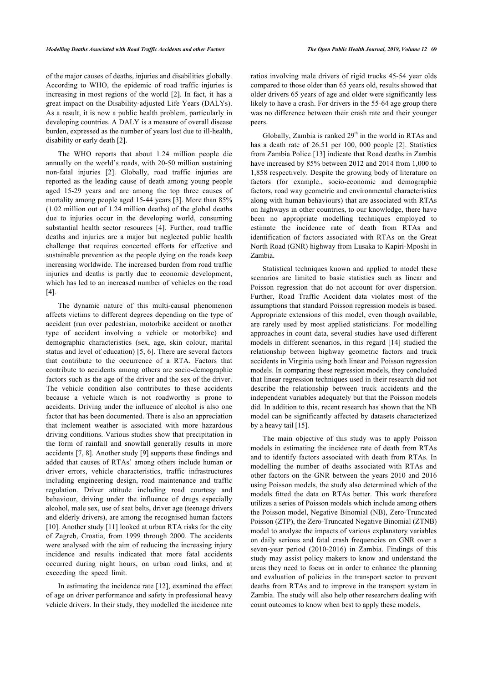of the major causes of deaths, injuries and disabilities globally. According to WHO, the epidemic of road traffic injuries is increasing in most regions of the world [[2\]](#page-8-1). In fact, it has a great impact on the Disability-adjusted Life Years (DALYs). As a result, it is now a public health problem, particularly in developing countries. A DALY is a measure of overall disease burden, expressed as the number of years lost due to ill-health, disability or early death [\[2\]](#page-8-1).

The WHO reports that about 1.24 million people die annually on the world's roads, with 20-50 million sustaining non-fatal injuries [\[2\]](#page-8-1). Globally, road traffic injuries are reported as the leading cause of death among young people aged 15-29 years and are among the top three causes of mortality among people aged 15-44 years [\[3\]](#page-8-2). More than 85% (1.02 million out of 1.24 million deaths) of the global deaths due to injuries occur in the developing world, consuming substantial health sector resources [\[4](#page-8-3)]. Further, road traffic deaths and injuries are a major but neglected public health challenge that requires concerted efforts for effective and sustainable prevention as the people dying on the roads keep increasing worldwide. The increased burden from road traffic injuries and deaths is partly due to economic development, which has led to an increased number of vehicles on the road [[4](#page-8-3)].

The dynamic nature of this multi-causal phenomenon affects victims to different degrees depending on the type of accident (run over pedestrian, motorbike accident or another type of accident involving a vehicle or motorbike) and demographic characteristics (sex, age, skin colour, marital status and level of education) [[5,](#page-8-4) [6](#page-8-5)]. There are several factors that contribute to the occurrence of a RTA. Factors that contribute to accidents among others are socio-demographic factors such as the age of the driver and the sex of the driver. The vehicle condition also contributes to these accidents because a vehicle which is not roadworthy is prone to accidents. Driving under the influence of alcohol is also one factor that has been documented. There is also an appreciation that inclement weather is associated with more hazardous driving conditions. Various studies show that precipitation in the form of rainfall and snowfall generally results in more accidents [\[7,](#page-8-6) [8](#page-8-7)]. Another study [[9](#page-8-8)] supports these findings and added that causes of RTAs' among others include human or driver errors, vehicle characteristics, traffic infrastructures including engineering design, road maintenance and traffic regulation. Driver attitude including road courtesy and behaviour, driving under the influence of drugs especially alcohol, male sex, use of seat belts, driver age (teenage drivers and elderly drivers), are among the recognised human factors [[10\]](#page-8-9). Another study [\[11](#page-8-10)] looked at urban RTA risks for the city of Zagreb, Croatia, from 1999 through 2000. The accidents were analysed with the aim of reducing the increasing injury incidence and results indicated that more fatal accidents occurred during night hours, on urban road links, and at exceeding the speed limit.

<span id="page-1-0"></span>In estimating the incidence rate [\[12\]](#page-8-11), examined the effect of age on driver performance and safety in professional heavy vehicle drivers. In their study, they modelled the incidence rate ratios involving male drivers of rigid trucks 45-54 year olds compared to those older than 65 years old, results showed that older drivers 65 years of age and older were significantly less likely to have a crash. For drivers in the 55-64 age group there was no difference between their crash rate and their younger peers.

Globally, Zambia is ranked  $29<sup>th</sup>$  in the world in RTAs and has a death rate of 26.51 per 100, 000 people [[2](#page-8-1)]. Statistics from Zambia Police [[13](#page-8-12)] indicate that Road deaths in Zambia have increased by 85% between 2012 and 2014 from 1,000 to 1,858 respectively. Despite the growing body of literature on factors (for example., socio-economic and demographic factors, road way geometric and environmental characteristics along with human behaviours) that are associated with RTAs on highways in other countries, to our knowledge, there have been no appropriate modelling techniques employed to estimate the incidence rate of death from RTAs and identification of factors associated with RTAs on the Great North Road (GNR) highway from Lusaka to Kapiri-Mposhi in Zambia.

Statistical techniques known and applied to model these scenarios are limited to basic statistics such as linear and Poisson regression that do not account for over dispersion. Further, Road Traffic Accident data violates most of the assumptions that standard Poisson regression models is based. Appropriate extensions of this model, even though available, are rarely used by most applied statisticians. For modelling approaches in count data, several studies have used different models in different scenarios, in this regard [[14\]](#page-8-13) studied the relationship between highway geometric factors and truck accidents in Virginia using both linear and Poisson regression models. In comparing these regression models, they concluded that linear regression techniques used in their research did not describe the relationship between truck accidents and the independent variables adequately but that the Poisson models did. In addition to this, recent research has shown that the NB model can be significantly affected by datasets characterized by a heavy tail [[15\]](#page-8-14).

The main objective of this study was to apply Poisson models in estimating the incidence rate of death from RTAs and to identify factors associated with death from RTAs. In modelling the number of deaths associated with RTAs and other factors on the GNR between the years 2010 and 2016 using Poisson models, the study also determined which of the models fitted the data on RTAs better. This work therefore utilizes a series of Poisson models which include among others the Poisson model, Negative Binomial (NB), Zero-Truncated Poisson (ZTP), the Zero-Truncated Negative Binomial (ZTNB) model to analyse the impacts of various explanatory variables on daily serious and fatal crash frequencies on GNR over a seven-year period (2010-2016) in Zambia. Findings of this study may assist policy makers to know and understand the areas they need to focus on in order to enhance the planning and evaluation of policies in the transport sector to prevent deaths from RTAs and to improve in the transport system in Zambia. The study will also help other researchers dealing with count outcomes to know when best to apply these models.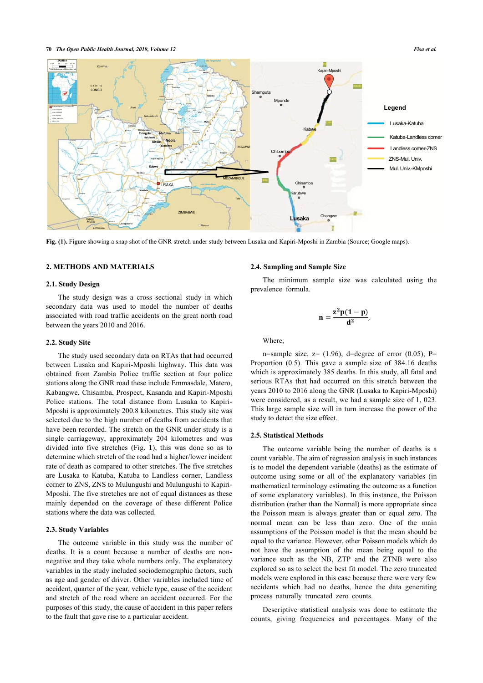#### **70** *The Open Public Health Journal, 2019, Volume 12 Fisa et al.*



**Fig. (1).** Figure showing a snap shot of the GNR stretch under study between Lusaka and Kapiri-Mposhi in Zambia (Source; Google maps).

# **2. METHODS AND MATERIALS**

#### **2.1. Study Design**

The study design was a cross sectional study in which secondary data was used to model the number of deaths associated with road traffic accidents on the great north road between the years 2010 and 2016.

#### **2.2. Study Site**

The study used secondary data on RTAs that had occurred between Lusaka and Kapiri-Mposhi highway. This data was obtained from Zambia Police traffic section at four police stations along the GNR road these include Emmasdale, Matero, Kabangwe, Chisamba, Prospect, Kasanda and Kapiri-Mposhi Police stations. The total distance from Lusaka to Kapiri-Mposhi is approximately 200.8 kilometres. This study site was selected due to the high number of deaths from accidents that have been recorded. The stretch on the GNR under study is a single carriageway, approximately 204 kilometres and was divided into five stretches (Fig.**1**), this was done so as to determine which stretch of the road had a higher/lower incident rate of death as compared to other stretches. The five stretches are Lusaka to Katuba, Katuba to Landless corner, Landless corner to ZNS, ZNS to Mulungushi and Mulungushi to Kapiri-Mposhi. The five stretches are not of equal distances as these mainly depended on the coverage of these different Police stations where the data was collected.

#### **2.3. Study Variables**

The outcome variable in this study was the number of deaths. It is a count because a number of deaths are nonnegative and they take whole numbers only. The explanatory variables in the study included sociodemographic factors, such as age and gender of driver. Other variables included time of accident, quarter of the year, vehicle type, cause of the accident and stretch of the road where an accident occurred. For the purposes of this study, the cause of accident in this paper refers to the fault that gave rise to a particular accident.

# **2.4. Sampling and Sample Size**

The minimum sample size was calculated using the prevalence formula.

$$
n=\frac{z^2p(1-p)}{d^2}
$$

,

Where;

n=sample size,  $z=$  (1.96), d=degree of error (0.05), P= Proportion (0.5). This gave a sample size of 384.16 deaths which is approximately 385 deaths. In this study, all fatal and serious RTAs that had occurred on this stretch between the years 2010 to 2016 along the GNR (Lusaka to Kapiri-Mposhi) were considered, as a result, we had a sample size of 1, 023. This large sample size will in turn increase the power of the study to detect the size effect.

#### **2.5. Statistical Methods**

The outcome variable being the number of deaths is a count variable. The aim of regression analysis in such instances is to model the dependent variable (deaths) as the estimate of outcome using some or all of the explanatory variables (in mathematical terminology estimating the outcome as a function of some explanatory variables). In this instance, the Poisson distribution (rather than the Normal) is more appropriate since the Poisson mean is always greater than or equal zero. The normal mean can be less than zero. One of the main assumptions of the Poisson model is that the mean should be equal to the variance. However, other Poisson models which do not have the assumption of the mean being equal to the variance such as the NB, ZTP and the ZTNB were also explored so as to select the best fit model. The zero truncated models were explored in this case because there were very few accidents which had no deaths, hence the data generating process naturally truncated zero counts.

Descriptive statistical analysis was done to estimate the counts, giving frequencies and percentages. Many of the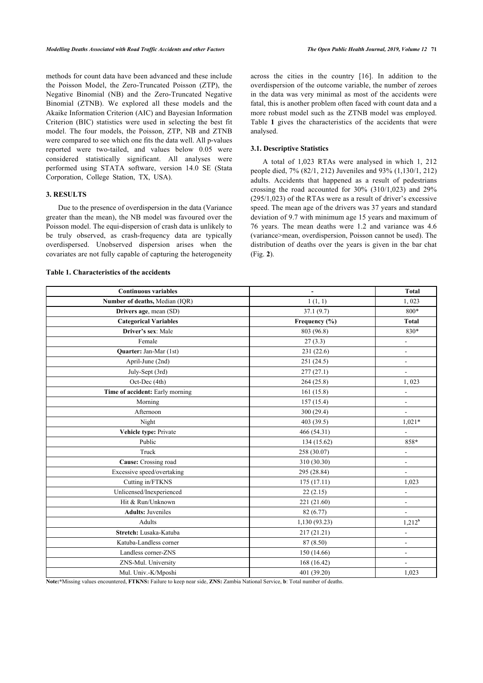methods for count data have been advanced and these include the Poisson Model, the Zero-Truncated Poisson (ZTP), the Negative Binomial (NB) and the Zero-Truncated Negative Binomial (ZTNB). We explored all these models and the Akaike Information Criterion (AIC) and Bayesian Information Criterion (BIC) statistics were used in selecting the best fit model. The four models, the Poisson, ZTP, NB and ZTNB were compared to see which one fits the data well. All p-values reported were two-tailed, and values below 0.05 were considered statistically significant. All analyses were performed using STATA software, version 14.0 SE (Stata Corporation, College Station, TX, USA).

# **3. RESULTS**

Due to the presence of overdispersion in the data (Variance greater than the mean), the NB model was favoured over the Poisson model. The equi-dispersion of crash data is unlikely to be truly observed, as crash-frequency data are typically overdispersed. Unobserved dispersion arises when the covariates are not fully capable of capturing the heterogeneity

# <span id="page-3-0"></span>**Table 1. Characteristics of the accidents**

across the cities in the country[[16\]](#page-8-15). In addition to the overdispersion of the outcome variable, the number of zeroes in the data was very minimal as most of the accidents were fatal, this is another problem often faced with count data and a more robust model such as the ZTNB model was employed. Table**1** gives the characteristics of the accidents that were analysed.

# **3.1. Descriptive Statistics**

A total of 1,023 RTAs were analysed in which 1, 212 people died, 7% (82/1, 212) Juveniles and 93% (1,130/1, 212) adults. Accidents that happened as a result of pedestrians crossing the road accounted for 30% (310/1,023) and 29% (295/1,023) of the RTAs were as a result of driver's excessive speed. The mean age of the drivers was 37 years and standard deviation of 9.7 with minimum age 15 years and maximum of 76 years. The mean deaths were 1.2 and variance was 4.6 (variance>mean, overdispersion, Poisson cannot be used). The distribution of deaths over the years is given in the bar chat (Fig. **[2](#page-3-1)**).

| <b>Continuous variables</b>     | ÷,            | <b>Total</b>             |
|---------------------------------|---------------|--------------------------|
| Number of deaths, Median (IQR)  | 1(1, 1)       | 1,023                    |
| Drivers age, mean (SD)          | 37.1(9.7)     | 800*                     |
| <b>Categorical Variables</b>    | Frequency (%) | <b>Total</b>             |
| Driver's sex: Male              | 803 (96.8)    | 830*                     |
| Female                          | 27(3.3)       | $\overline{a}$           |
| Quarter: Jan-Mar (1st)          | 231 (22.6)    | $\blacksquare$           |
| April-June (2nd)                | 251 (24.5)    | $\overline{a}$           |
| July-Sept (3rd)                 | 277(27.1)     | $\blacksquare$           |
| Oct-Dec (4th)                   | 264 (25.8)    | 1,023                    |
| Time of accident: Early morning | 161 (15.8)    | $\overline{a}$           |
| Morning                         | 157 (15.4)    | $\blacksquare$           |
| Afternoon                       | 300 (29.4)    | $\blacksquare$           |
| Night                           | 403 (39.5)    | $1,021*$                 |
| Vehicle type: Private           | 466 (54.31)   | $\overline{a}$           |
| Public                          | 134 (15.62)   | 858*                     |
| Truck                           | 258 (30.07)   | $\frac{1}{2}$            |
| Cause: Crossing road            | 310 (30.30)   | $\blacksquare$           |
| Excessive speed/overtaking      | 295 (28.84)   | $\overline{a}$           |
| Cutting in/FTKNS                | 175(17.11)    | 1,023                    |
| Unlicensed/Inexperienced        | 22(2.15)      | $\overline{\phantom{a}}$ |
| Hit & Run/Unknown               | 221 (21.60)   | $\blacksquare$           |
| <b>Adults:</b> Juveniles        | 82 (6.77)     | $\overline{\phantom{a}}$ |
| <b>Adults</b>                   | 1,130 (93.23) | $1,212^b$                |
| Stretch: Lusaka-Katuba          | 217(21.21)    | ÷,                       |
| Katuba-Landless corner          | 87 (8.50)     | $\overline{a}$           |
| Landless corner-ZNS             | 150 (14.66)   | $\blacksquare$           |
| ZNS-Mul. University             | 168 (16.42)   | $\blacksquare$           |
| Mul. Univ.-K/Mposhi             | 401 (39.20)   | 1,023                    |

<span id="page-3-1"></span>**Note:\***Missing values encountered, **FTKNS:** Failure to keep near side, **ZNS:** Zambia National Service, **b**: Total number of deaths.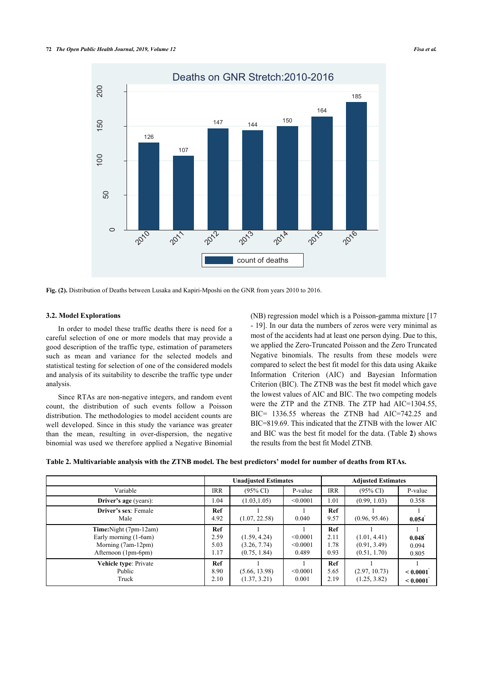

**Fig. (2).** Distribution of Deaths between Lusaka and Kapiri-Mposhi on the GNR from years 2010 to 2016.

# **3.2. Model Explorations**

In order to model these traffic deaths there is need for a careful selection of one or more models that may provide a good description of the traffic type, estimation of parameters such as mean and variance for the selected models and statistical testing for selection of one of the considered models and analysis of its suitability to describe the traffic type under analysis.

Since RTAs are non-negative integers, and random event count, the distribution of such events follow a Poisson distribution. The methodologies to model accident counts are well developed. Since in this study the variance was greater than the mean, resulting in over-dispersion, the negative binomial was used we therefore applied a Negative Binomial (NB) regression model which is a Poisson-gamma mixture [[17](#page-8-16) - [19](#page-8-17)]. In our data the numbers of zeros were very minimal as most of the accidents had at least one person dying. Due to this, we applied the Zero-Truncated Poisson and the Zero Truncated Negative binomials. The results from these models were compared to select the best fit model for this data using Akaike Information Criterion (AIC) and Bayesian Information Criterion (BIC). The ZTNB was the best fit model which gave the lowest values of AIC and BIC. The two competing models were the ZTP and the ZTNB. The ZTP had AIC=1304.55, BIC= 1336.55 whereas the ZTNB had AIC=742.25 and BIC=819.69. This indicated that the ZTNB with the l[ow](#page--1-0)er AIC and BIC was the best fit model for the data. (Table **2**) shows the results from the best fit Model ZTNB.

|                                                                                              | <b>Unadjusted Estimates</b> |                                              | <b>Adjusted Estimates</b>     |                             |                                              |                                |
|----------------------------------------------------------------------------------------------|-----------------------------|----------------------------------------------|-------------------------------|-----------------------------|----------------------------------------------|--------------------------------|
| Variable                                                                                     | <b>IRR</b>                  | $(95\% \text{ CI})$                          | P-value                       | <b>IRR</b>                  | $(95\% \text{ CI})$                          | P-value                        |
| <b>Driver's age</b> (years):                                                                 | 1.04                        | (1.03, 1.05)                                 | < 0.0001                      | 1.01                        | (0.99, 1.03)                                 | 0.358                          |
| Driver's sex: Female<br>Male                                                                 | Ref<br>4.92                 | (1.07, 22.58)                                | 0.040                         | Ref<br>9.57                 | (0.96, 95.46)                                | 0.054                          |
| Time: Night (7pm-12am)<br>Early morning (1-6am)<br>Morning (7am-12pm)<br>Afternoon (1pm-6pm) | Ref<br>2.59<br>5.03<br>1.17 | (1.59, 4.24)<br>(3.26, 7.74)<br>(0.75, 1.84) | < 0.0001<br>< 0.0001<br>0.489 | Ref<br>2.11<br>1.78<br>0.93 | (1.01, 4.41)<br>(0.91, 3.49)<br>(0.51, 1.70) | 0.048<br>0.094<br>0.805        |
| Vehicle type: Private<br>Public<br>Truck                                                     | Ref<br>8.90<br>2.10         | (5.66, 13.98)<br>(1.37, 3.21)                | < 0.0001<br>0.001             | Ref<br>5.65<br>2.19         | (2.97, 10.73)<br>(1.25, 3.82)                | $\leq 0.0001$<br>$\leq 0.0001$ |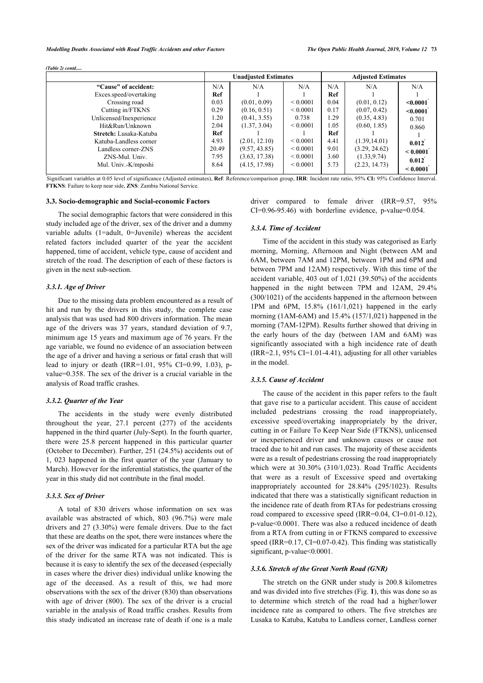|                         |       | <b>Unadjusted Estimates</b> |               | <b>Adjusted Estimates</b> |               |               |
|-------------------------|-------|-----------------------------|---------------|---------------------------|---------------|---------------|
| "Cause" of accident:    | N/A   | N/A                         | N/A           | N/A                       | N/A           | N/A           |
| Exces.speed/overtaking  | Ref   |                             |               | Ref                       |               |               |
| Crossing road           | 0.03  | (0.01, 0.09)                | ${}_{0.0001}$ | 0.04                      | (0.01, 0.12)  | $\leq 0.0001$ |
| Cutting in/FTKNS        | 0.29  | (0.16, 0.51)                | ${}_{0.0001}$ | 0.17                      | (0.07, 0.42)  | $\leq 0.0001$ |
| Unlicensed/Inexperience | 1.20  | (0.41, 3.55)                | 0.738         | 1.29                      | (0.35, 4.83)  | 0.701         |
| Hit&Run/Unknown         | 2.04  | (1.37, 3.04)                | ${}_{0.0001}$ | 1.05                      | (0.60, 1.85)  | 0.860         |
| Stretch: Lusaka-Katuba  | Ref   |                             |               | Ref                       |               |               |
| Katuba-Landless corner  | 4.93  | (2.01, 12.10)               | ${}_{0.0001}$ | 4.41                      | (1.39, 14.01) | 0.012         |
| Landless corner-ZNS     | 20.49 | (9.57, 43.85)               | ${}_{0.0001}$ | 9.01                      | (3.29, 24.62) | $\leq 0.0001$ |
| ZNS-Mul. Univ.          | 7.95  | (3.63, 17.38)               | ${}_{0.0001}$ | 3.60                      | (1.33.9.74)   | 0.012         |
| Mul. Univ.-K/mposhi     | 8.64  | (4.15, 17.98)               | ${}_{0.0001}$ | 5.73                      | (2.23, 14.73) |               |
|                         |       |                             |               |                           |               | < 0.0001      |

**a** Significant variables at 0.05 level of significance (Adjusted estimates), **Ref**: Reference/comparison group, **IRR**: Incident rate ratio, 95% **CI:** 95% Confidence Interval. **FTKNS**: Failure to keep near side, **ZNS**: Zambia National Service.

#### **3.3. Socio-demographic and Social-economic Factors**

The social demographic factors that were considered in this study included age of the driver, sex of the driver and a dummy variable adults (1=adult, 0=Juvenile) whereas the accident related factors included quarter of the year the accident happened, time of accident, vehicle type, cause of accident and stretch of the road. The description of each of these factors is given in the next sub-section.

### *3.3.1. Age of Driver*

*(Table 2) contd.....*

Due to the missing data problem encountered as a result of hit and run by the drivers in this study, the complete case analysis that was used had 800 drivers information. The mean age of the drivers was 37 years, standard deviation of 9.7, minimum age 15 years and maximum age of 76 years. Fr the age variable, we found no evidence of an association between the age of a driver and having a serious or fatal crash that will lead to injury or death (IRR=1.01, 95% CI=0.99, 1.03), pvalue=0.358. The sex of the driver is a crucial variable in the analysis of Road traffic crashes.

#### *3.3.2. Quarter of the Year*

The accidents in the study were evenly distributed throughout the year, 27.1 percent (277) of the accidents happened in the third quarter (July-Sept). In the fourth quarter, there were 25.8 percent happened in this particular quarter (October to December). Further, 251 (24.5%) accidents out of 1, 023 happened in the first quarter of the year (January to March). However for the inferential statistics, the quarter of the year in this study did not contribute in the final model.

#### *3.3.3. Sex of Driver*

A total of 830 drivers whose information on sex was available was abstracted of which, 803 (96.7%) were male drivers and 27 (3.30%) were female drivers. Due to the fact that these are deaths on the spot, there were instances where the sex of the driver was indicated for a particular RTA but the age of the driver for the same RTA was not indicated. This is because it is easy to identify the sex of the deceased (especially in cases where the driver dies) individual unlike knowing the age of the deceased. As a result of this, we had more observations with the sex of the driver (830) than observations with age of driver (800). The sex of the driver is a crucial variable in the analysis of Road traffic crashes. Results from this study indicated an increase rate of death if one is a male

driver compared to female driver (IRR=9.57, 95% CI=0.96-95.46) with borderline evidence, p-value=0.054.

# *3.3.4. Time of Accident*

Time of the accident in this study was categorised as Early morning, Morning, Afternoon and Night (between AM and 6AM, between 7AM and 12PM, between 1PM and 6PM and between 7PM and 12AM) respectively. With this time of the accident variable, 403 out of 1,021 (39.50%) of the accidents happened in the night between 7PM and 12AM, 29.4% (300/1021) of the accidents happened in the afternoon between 1PM and 6PM, 15.8% (161/1,021) happened in the early morning (1AM-6AM) and 15.4% (157/1,021) happened in the morning (7AM-12PM). Results further showed that driving in the early hours of the day (between 1AM and 6AM) was significantly associated with a high incidence rate of death  $(IRR=2.1, 95\% CI=1.01-4.41)$ , adjusting for all other variables in the model.

#### *3.3.5. Cause of Accident*

The cause of the accident in this paper refers to the fault that gave rise to a particular accident. This cause of accident included pedestrians crossing the road inappropriately, excessive speed/overtaking inappropriately by the driver, cutting in or Failure To Keep Near Side (FTKNS), unlicensed or inexperienced driver and unknown causes or cause not traced due to hit and run cases. The majority of these accidents were as a result of pedestrians crossing the road inappropriately which were at 30.30% (310/1,023). Road Traffic Accidents that were as a result of Excessive speed and overtaking inappropriately accounted for 28.84% (295/1023). Results indicated that there was a statistically significant reduction in the incidence rate of death from RTAs for pedestrians crossing road compared to excessive speed (IRR=0.04, CI=0.01-0.12), p-value<0.0001. There was also a reduced incidence of death from a RTA from cutting in or FTKNS compared to excessive speed (IRR=0.17, CI=0.07-0.42). This finding was statistically significant, p-value<0.0001.

#### *3.3.6. Stretch of the Great North Road (GNR)*

The stretch on the GNR under study is 200.8 kilometres and was divided into five stretches (Fig. **[1](#page-1-0)**), this was done so as to determine which stretch of the road had a higher/lower incidence rate as compared to others. The five stretches are Lusaka to Katuba, Katuba to Landless corner, Landless corner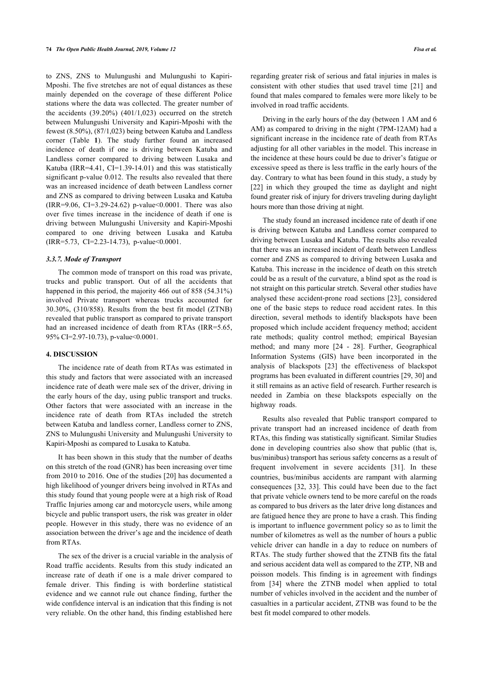to ZNS, ZNS to Mulungushi and Mulungushi to Kapiri-Mposhi. The five stretches are not of equal distances as these mainly depended on the coverage of these different Police stations where the data was collected. The greater number of the accidents  $(39.20\%)$   $(401/1,023)$  occurred on the stretch between Mulungushi University and Kapiri-Mposhi with the fewest (8.50%), (87/1,023) being between Katuba and Landless corner (Table**1**). The study further found an increased incidence of death if one is driving between Katuba and Landless corner compared to driving between Lusaka and Katuba (IRR=4.41, CI=1.39-14.01) and this was statistically significant p-value 0.012. The results also revealed that there was an increased incidence of death between Landless corner and ZNS as compared to driving between Lusaka and Katuba  $(IRR=9.06, CI=3.29-24.62)$  p-value < 0.0001. There was also over five times increase in the incidence of death if one is driving between Mulungushi University and Kapiri-Mposhi compared to one driving between Lusaka and Katuba (IRR=5.73, CI=2.23-14.73), p-value<0.0001.

#### *3.3.7. Mode of Transport*

The common mode of transport on this road was private, trucks and public transport. Out of all the accidents that happened in this period, the majority 466 out of 858 (54.31%) involved Private transport whereas trucks accounted for 30.30%, (310/858). Results from the best fit model (ZTNB) revealed that public transport as compared to private transport had an increased incidence of death from RTAs (IRR=5.65, 95% CI=2.97-10.73), p-value<0.0001.

#### **4. DISCUSSION**

The incidence rate of death from RTAs was estimated in this study and factors that were associated with an increased incidence rate of death were male sex of the driver, driving in the early hours of the day, using public transport and trucks. Other factors that were associated with an increase in the incidence rate of death from RTAs included the stretch between Katuba and landless corner, Landless corner to ZNS, ZNS to Mulungushi University and Mulungushi University to Kapiri-Mposhi as compared to Lusaka to Katuba.

It has been shown in this study that the number of deaths on this stretch of the road (GNR) has been increasing over time from 2010 to 2016. One of the studies [[20](#page-8-18)] has documented a high likelihood of younger drivers being involved in RTAs and this study found that young people were at a high risk of Road Traffic Injuries among car and motorcycle users, while among bicycle and public transport users, the risk was greater in older people. However in this study, there was no evidence of an association between the driver's age and the incidence of death from RTAs.

The sex of the driver is a crucial variable in the analysis of Road traffic accidents. Results from this study indicated an increase rate of death if one is a male driver compared to female driver. This finding is with borderline statistical evidence and we cannot rule out chance finding, further the wide confidence interval is an indication that this finding is not very reliable. On the other hand, this finding established here

regarding greater risk of serious and fatal injuries in males is consistent with other studies that used travel time [\[21](#page-8-19)] and found that males compared to females were more likely to be involved in road traffic accidents.

Driving in the early hours of the day (between 1 AM and 6 AM) as compared to driving in the night (7PM-12AM) had a significant increase in the incidence rate of death from RTAs adjusting for all other variables in the model. This increase in the incidence at these hours could be due to driver's fatigue or excessive speed as there is less traffic in the early hours of the day. Contrary to what has been found in this study, a study by [[22](#page-8-20)] in which they grouped the time as daylight and night found greater risk of injury for drivers traveling during daylight hours more than those driving at night.

The study found an increased incidence rate of death if one is driving between Katuba and Landless corner compared to driving between Lusaka and Katuba. The results also revealed that there was an increased incident of death between Landless corner and ZNS as compared to driving between Lusaka and Katuba. This increase in the incidence of death on this stretch could be as a result of the curvature, a blind spot as the road is not straight on this particular stretch. Several other studies have analysed these accident-prone road sections [[23\]](#page-8-21), considered one of the basic steps to reduce road accident rates. In this direction, several methods to identify blackspots have been proposed which include accident frequency method; accident rate methods; quality control method; empirical Bayesian method; and many more[[24](#page-8-22) - [28\]](#page-8-23). Further, Geographical Information Systems (GIS) have been incorporated in the analysis of blackspots[[23\]](#page-8-21) the effectiveness of blackspot programs has been evaluated in different countries [[29,](#page-8-24) [30](#page-8-25)] and it still remains as an active field of research. Further research is needed in Zambia on these blackspots especially on the highway roads.

Results also revealed that Public transport compared to private transport had an increased incidence of death from RTAs, this finding was statistically significant. Similar Studies done in developing countries also show that public (that is, bus/minibus) transport has serious safety concerns as a result of frequent involvement in severe accidents[[31](#page-8-9)]. In these countries, bus/minibus accidents are rampant with alarming consequences [[32](#page-8-26), [33\]](#page-8-27). This could have been due to the fact that private vehicle owners tend to be more careful on the roads as compared to bus drivers as the later drive long distances and are fatigued hence they are prone to have a crash. This finding is important to influence government policy so as to limit the number of kilometres as well as the number of hours a public vehicle driver can handle in a day to reduce on numbers of RTAs. The study further showed that the ZTNB fits the fatal and serious accident data well as compared to the ZTP, NB and poisson models. This finding is in agreement with findings from[[34](#page-9-0)] where the ZTNB model when applied to total number of vehicles involved in the accident and the number of casualties in a particular accident, ZTNB was found to be the best fit model compared to other models.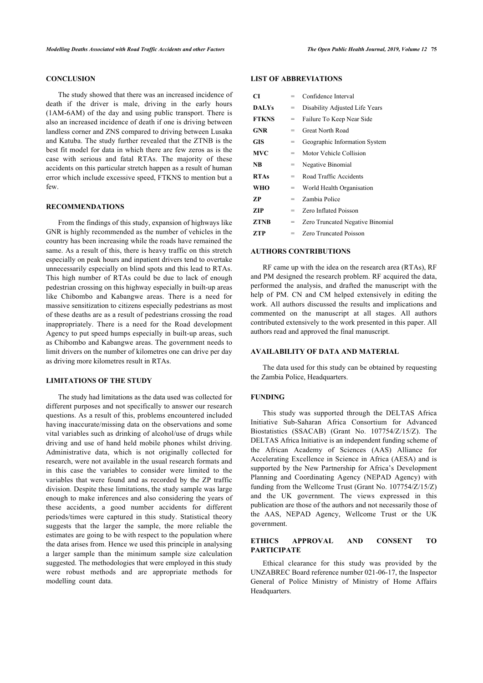# **CONCLUSION**

The study showed that there was an increased incidence of death if the driver is male, driving in the early hours (1AM-6AM) of the day and using public transport. There is also an increased incidence of death if one is driving between landless corner and ZNS compared to driving between Lusaka and Katuba. The study further revealed that the ZTNB is the best fit model for data in which there are few zeros as is the case with serious and fatal RTAs. The majority of these accidents on this particular stretch happen as a result of human error which include excessive speed, FTKNS to mention but a few.

#### **RECOMMENDATIONS**

From the findings of this study, expansion of highways like GNR is highly recommended as the number of vehicles in the country has been increasing while the roads have remained the same. As a result of this, there is heavy traffic on this stretch especially on peak hours and inpatient drivers tend to overtake unnecessarily especially on blind spots and this lead to RTAs. This high number of RTAs could be due to lack of enough pedestrian crossing on this highway especially in built-up areas like Chibombo and Kabangwe areas. There is a need for massive sensitization to citizens especially pedestrians as most of these deaths are as a result of pedestrians crossing the road inappropriately. There is a need for the Road development Agency to put speed humps especially in built-up areas, such as Chibombo and Kabangwe areas. The government needs to limit drivers on the number of kilometres one can drive per day as driving more kilometres result in RTAs.

# **LIMITATIONS OF THE STUDY**

The study had limitations as the data used was collected for different purposes and not specifically to answer our research questions. As a result of this, problems encountered included having inaccurate/missing data on the observations and some vital variables such as drinking of alcohol/use of drugs while driving and use of hand held mobile phones whilst driving. Administrative data, which is not originally collected for research, were not available in the usual research formats and in this case the variables to consider were limited to the variables that were found and as recorded by the ZP traffic division. Despite these limitations, the study sample was large enough to make inferences and also considering the years of these accidents, a good number accidents for different periods/times were captured in this study. Statistical theory suggests that the larger the sample, the more reliable the estimates are going to be with respect to the population where the data arises from. Hence we used this principle in analysing a larger sample than the minimum sample size calculation suggested. The methodologies that were employed in this study were robust methods and are appropriate methods for modelling count data.

# **LIST OF ABBREVIATIONS**

| CI           | =   | Confidence Interval              |
|--------------|-----|----------------------------------|
| <b>DALYs</b> | $=$ | Disability Adjusted Life Years   |
| <b>FTKNS</b> | $=$ | Failure To Keep Near Side        |
| GNR          | $=$ | <b>Great North Road</b>          |
| GIS          | =   | Geographic Information System    |
| <b>MVC</b>   | $=$ | Motor Vehicle Collision          |
| NB           | $=$ | Negative Binomial                |
| <b>RTAs</b>  | $=$ | Road Traffic Accidents           |
| WHO          | $=$ | World Health Organisation        |
| 7P           | $=$ | Zambia Police                    |
| <b>ZIP</b>   | =   | Zero Inflated Poisson            |
| <b>ZTNB</b>  | =   | Zero Truncated Negative Binomial |
| ZTP          | $=$ | <b>Zero Truncated Poisson</b>    |

#### **AUTHORS CONTRIBUTIONS**

RF came up with the idea on the research area (RTAs), RF and PM designed the research problem. RF acquired the data, performed the analysis, and drafted the manuscript with the help of PM. CN and CM helped extensively in editing the work. All authors discussed the results and implications and commented on the manuscript at all stages. All authors contributed extensively to the work presented in this paper. All authors read and approved the final manuscript.

# **AVAILABILITY OF DATA AND MATERIAL**

The data used for this study can be obtained by requesting the Zambia Police, Headquarters.

#### **FUNDING**

This study was supported through the DELTAS Africa Initiative Sub-Saharan Africa Consortium for Advanced Biostatistics (SSACAB) (Grant No. 107754/Z/15/Z). The DELTAS Africa Initiative is an independent funding scheme of the African Academy of Sciences (AAS) Alliance for Accelerating Excellence in Science in Africa (AESA) and is supported by the New Partnership for Africa's Development Planning and Coordinating Agency (NEPAD Agency) with funding from the Wellcome Trust (Grant No. 107754/Z/15/Z) and the UK government. The views expressed in this publication are those of the authors and not necessarily those of the AAS, NEPAD Agency, Wellcome Trust or the UK government.

# **ETHICS APPROVAL AND CONSENT TO PARTICIPATE**

Ethical clearance for this study was provided by the UNZABREC Board reference number 021-06-17, the Inspector General of Police Ministry of Ministry of Home Affairs Headquarters.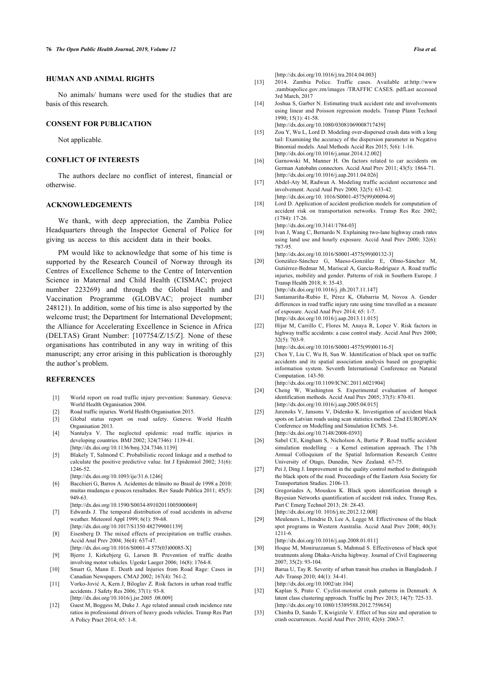# <span id="page-8-12"></span>**HUMAN AND ANIMAL RIGHTS**

<span id="page-8-13"></span>No animals/ humans were used for the studies that are basis of this research.

#### <span id="page-8-14"></span>**CONSENT FOR PUBLICATION**

Not applicable.

## <span id="page-8-15"></span>**CONFLICT OF INTERESTS**

<span id="page-8-16"></span>The authors declare no conflict of interest, financial or otherwise.

#### **ACKNOWLEDGEMENTS**

<span id="page-8-17"></span>We thank, with deep appreciation, the Zambia Police Headquarters through the Inspector General of Police for giving us access to this accident data in their books.

<span id="page-8-19"></span><span id="page-8-18"></span>PM would like to acknowledge that some of his time is supported by the Research Council of Norway through its Centres of Excellence Scheme to the Centre of Intervention Science in Maternal and Child Health (CISMAC; project number 223269) and through the Global Health and Vaccination Programme (GLOBVAC; project number 248121). In addition, some of his time is also supported by the welcome trust; the Department for International Development; the Alliance for Accelerating Excellence in Science in Africa (DELTAS) Grant Number: [107754/Z/15/Z]. None of these organisations has contributed in any way in writing of this manuscript; any error arising in this publication is thoroughly the author's problem.

## <span id="page-8-22"></span><span id="page-8-21"></span><span id="page-8-20"></span><span id="page-8-0"></span>**REFERENCES**

- [1] World report on road traffic injury prevention: Summary. Geneva: World Health Organisation 2004.
- <span id="page-8-2"></span><span id="page-8-1"></span>[2] Road traffic injuries. World Health Organisation 2015.
- [3] Global status report on road safety. Geneva: World Health Organisation 2013.
- <span id="page-8-3"></span>[4] Nantulya V. The neglected epidemic: road traffic injuries in developing countries. BMJ 2002; 324(7346): 1139-41. [\[http://dx.doi.org/10.1136/bmj.324.7346.1139\]](http://dx.doi.org/10.1136/bmj.324.7346.1139)
- <span id="page-8-4"></span>[5] Blakely T, Salmond C. Probabilistic record linkage and a method to calculate the positive predictive value. Int J Epidemiol 2002; 31(6): 1246-52. [\[http://dx.doi.org/10.1093/ije/31.6.1246](http://dx.doi.org/10.1093/ije/31.6.1246)]
- <span id="page-8-23"></span><span id="page-8-5"></span>[6] Bacchieri G, Barros A. Acidentes de trânsito no Brasil de 1998 a 2010: muitas mudanças e poucos resultados. Rev Saude Publica 2011; 45(5): 949-63.
	- [\[http://dx.doi.org/10.1590/S0034-89102011005000069\]](http://dx.doi.org/10.1590/S0034-89102011005000069)
- <span id="page-8-24"></span><span id="page-8-6"></span>[7] Edwards J. The temporal distribution of road accidents in adverse weather. Meteorol Appl 1999; 6(1): 59-68. [\[http://dx.doi.org/10.1017/S1350 482799001139\]](http://dx.doi.org/10.1017/S1350%20482799001139)
- <span id="page-8-7"></span>[8] Eisenberg D. The mixed effects of precipitation on traffic crashes. Accid Anal Prev 2004; 36(4): 637-47.
- [\[http://dx.doi.org/10.1016/S0001-4 575\(03\)00085-X\]](http://dx.doi.org/10.1016/S0001-4%20575(03)00085-X)
- <span id="page-8-25"></span><span id="page-8-8"></span>[9] Bjerre J, Kirkebjerg G, Larsen B. Prevention of traffic deaths involving motor vehicles. Ugeskr Laeger 2006; 16(8): 1764-8.
- <span id="page-8-9"></span>[10] Smart G, Mann E. Death and Injuries from Road Rage: Cases in Canadian Newspapers. CMAJ 2002; 167(4): 761-2.
- <span id="page-8-26"></span><span id="page-8-10"></span>[11] Vorko-Jović A, Kern J, Biloglav Z. Risk factors in urban road traffic accidents. J Safety Res 2006; 37(1): 93-8. [\[http://dx.doi.org/10.1016/j.jsr.2005 .08.009](http://dx.doi.org/10.1016/j.jsr.2005%20.08.009)]
- <span id="page-8-27"></span><span id="page-8-11"></span>[12] Guest M, Boggess M, Duke J. Age related annual crash incidence rate ratios in professional drivers of heavy goods vehicles. Transp Res Part A Policy Pract 2014; 65: 1-8.

[\[http://dx.doi.org/10.1016/j.tra.2014.04.003](http://dx.doi.org/10.1016/j.tra.2014.04.003)]

- [13] 2014. Zambia Police. Traffic cases. Available at:[http://www](http://www.zambiapolice.gov.zm/images/TRAFFICCASES.pdf) [.zambiapolice.gov.zm/images /TRAFFIC CASES. pdf](http://www.zambiapolice.gov.zm/images/TRAFFICCASES.pdf)Last accessed 3rd March, 2017
- [14] Joshua S, Garber N. Estimating truck accident rate and involvements using linear and Poisson regression models. Transp Plann Technol 1990; 15(1): 41-58.
- [\[http://dx.doi.org/10.1080/03081069008717439\]](http://dx.doi.org/10.1080/03081069008717439)
- [15] Zou Y, Wu L, Lord D. Modeling over-dispersed crash data with a long tail: Examining the accuracy of the dispersion parameter in Negative Binomial models. Anal Methods Accid Res 2015; 5(6): 1-16. [\[http://dx.doi.org/10.1016/j.amar.2014.12.002\]](http://dx.doi.org/10.1016/j.amar.2014.12.002)
- [16] Garnowski M, Manner H. On factors related to car accidents on German Autobahn connectors. Accid Anal Prev 2011; 43(5): 1864-71. [\[http://dx.doi.org/10.1016/j.aap.2011.04.026\]](http://dx.doi.org/10.1016/j.aap.2011.04.026)
- [17] Abdel-Aty M, Radwan A. Modeling traffic accident occurrence and involvement. Accid Anal Prev 2000; 32(5): 633-42.
	- [\[http://dx.doi.org/10. 1016/S0001-4575\(99\)00094-9](http://dx.doi.org/10.%201016/S0001-4575(99)00094-9)]
- [18] Lord D. Application of accident prediction models for computation of accident risk on transportation networks. Transp Res Rec 2002; (1784): 17-26.
- [\[http://dx.doi.org/10.3141/1784-03\]](http://dx.doi.org/10.3141/1784-03)
- [19] Ivan J, Wang C, Bernardo N. Explaining two-lane highway crash rates using land use and hourly exposure. Accid Anal Prev 2000: 32(6): 787-95.

[\[http://dx.doi.org/10.1016/S0001-4575\(99\)00132-3\]](http://dx.doi.org/10.1016/S0001-4575(99)00132-3)

- [20] González-Sánchez G, Maeso-González E, Olmo-Sánchez M, Gutiérrez-Bedmar M, Mariscal A, García-Rodríguez A. Road traffic injuries, mobility and gender. Patterns of risk in Southern Europe. J Transp Health 2018; 8: 35-43.
	- [\[http://dx.doi.org/10.1016/j. jth.2017.11.147](http://dx.doi.org/10.1016/j.%20jth.2017.11.147)]
- [21] Santamariña-Rubio E, Pérez K, Olabarria M, Novoa A. Gender differences in road traffic injury rate using time travelled as a measure of exposure. Accid Anal Prev 2014; 65: 1-7. [\[http://dx.doi.org/10.1016/j.aap.2013.11.015\]](http://dx.doi.org/10.1016/j.aap.2013.11.015)
- [22] Híjar M, Carrillo C, Flores M, Anaya R, Lopez V. Risk factors in highway traffic accidents: a case control study. Accid Anal Prev 2000; 32(5): 703-9.

[\[http://dx.doi.org/10.1016/S0001-4575\(99\)00116-5\]](http://dx.doi.org/10.1016/S0001-4575(99)00116-5)

[23] Chen Y, Liu C, Wu H, Sun W. Identification of black spot on traffic accidents and its spatial association analysis based on geographic information system. Seventh International Conference on Natural Computation. 143-50.

[\[http://dx.doi.org/10.1109/ICNC.2011.6021904](http://dx.doi.org/10.1109/ICNC.2011.6021904)]

- [24] Cheng W, Washington S. Experimental evaluation of hotspot identification methods. Accid Anal Prev 2005; 37(5): 870-81. [\[http://dx.doi.org/10.1016/j.aap.2005.04.015\]](http://dx.doi.org/10.1016/j.aap.2005.04.015)
- [25] Jurenoks V, Jansons V, Didenko K. Investigation of accident black spots on Latvian roads using scan statistics method. 22nd EUROPEAN Conference on Modelling and Simulation ECMS. 3-6. [\[http://dx.doi.org/10.7148/2008-0393\]](http://dx.doi.org/10.7148/2008-0393)
- [26] Sabel CE, Kingham S, Nicholson A, Bartie P. Road traffic accident simulation modelling – a Kernel estimation approach. The 17th Annual Colloquium of the Spatial Information Research Centre University of Otago, Dunedin, New Zealand. 67-75.
- [27] Pei J, Ding J. Improvement in the quality control method to distinguish the black spots of the road. Proceedings of the Eastern Asia Society for Transportation Studies. 2106-13.
- [28] Gregoriades A, Mouskos K. Black spots identification through a Bayesian Networks quantification of accident risk index. Transp Res, Part C Emerg Technol 2013; 28: 28-43.

[\[http://dx.doi.org/10. 1016/j.trc.2012.12.008](http://dx.doi.org/10.%201016/j.trc.2012.12.008)]

[29] Meuleners L, Hendrie D, Lee A, Legge M. Effectiveness of the black spot programs in Western Australia. Accid Anal Prev 2008; 40(3): 1211-6.

[\[http://dx.doi.org/10.1016/j.aap.2008.01.011\]](http://dx.doi.org/10.1016/j.aap.2008.01.011)

- [30] Hoque M, Moniruzzaman S, Mahmud S. Effectiveness of black spot treatments along Dhaka-Aricha highway. Journal of Civil Engineering 2007; 35(2): 93-104.
- [31] Barua U, Tay R. Severity of urban transit bus crashes in Bangladesh. J Adv Transp 2010; 44(1): 34-41. [\[http://dx.doi.org/10.1002/atr.104](http://dx.doi.org/10.1002/atr.104)]
- [32] Kaplan S, Prato C. Cyclist-motorist crash patterns in Denmark: A latent class clustering approach. Traffic Inj Prev 2013; 14(7): 725-33. [\[http://dx.doi.org/10.1080/15389588.2012.759654\]](http://dx.doi.org/10.1080/15389588.2012.759654)
- [33] Chimba D, Sando T, Kwigizile V. Effect of bus size and operation to crash occurrences. Accid Anal Prev 2010; 42(6): 2063-7.